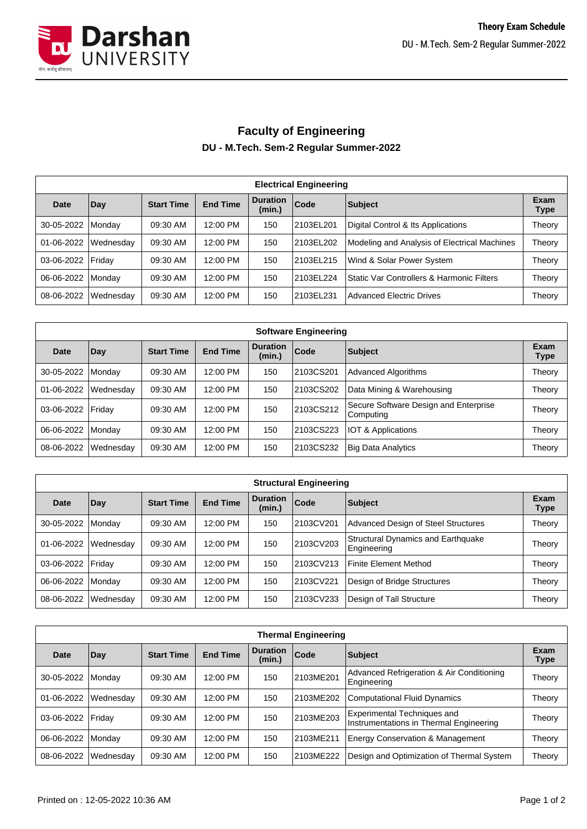

## **Faculty of Engineering DU - M.Tech. Sem-2 Regular Summer-2022**

| <b>Electrical Engineering</b> |                  |                   |                 |                           |            |                                              |                     |  |  |  |
|-------------------------------|------------------|-------------------|-----------------|---------------------------|------------|----------------------------------------------|---------------------|--|--|--|
| <b>Date</b>                   | Day              | <b>Start Time</b> | <b>End Time</b> | <b>Duration</b><br>(min.) | Code       | Subject                                      | Exam<br><b>Type</b> |  |  |  |
| 30-05-2022                    | Monday           | 09:30 AM          | 12:00 PM        | 150                       | 2103EL201  | Digital Control & Its Applications           | Theory              |  |  |  |
| 01-06-2022                    | <b>Wednesday</b> | 09:30 AM          | 12:00 PM        | 150                       | l2103EL202 | Modeling and Analysis of Electrical Machines | Theory              |  |  |  |
| 03-06-2022   Friday           |                  | 09:30 AM          | 12:00 PM        | 150                       | 2103EL215  | Wind & Solar Power System                    | Theory              |  |  |  |
| 06-06-2022                    | <b>Monday</b>    | 09:30 AM          | 12:00 PM        | 150                       | 2103EL224  | Static Var Controllers & Harmonic Filters    | Theory              |  |  |  |
| 08-06-2022                    | Wednesday        | 09:30 AM          | 12:00 PM        | 150                       | 2103EL231  | Advanced Electric Drives                     | Theory              |  |  |  |

| <b>Software Engineering</b> |                |                   |                 |                           |           |                                                    |                     |  |  |  |
|-----------------------------|----------------|-------------------|-----------------|---------------------------|-----------|----------------------------------------------------|---------------------|--|--|--|
| <b>Date</b>                 | Day            | <b>Start Time</b> | <b>End Time</b> | <b>Duration</b><br>(min.) | Code      | <b>Subject</b>                                     | Exam<br><b>Type</b> |  |  |  |
| 30-05-2022                  | <b>IMondav</b> | 09:30 AM          | 12:00 PM        | 150                       | 2103CS201 | <b>Advanced Algorithms</b>                         | Theory              |  |  |  |
| 01-06-2022                  | Wednesday      | 09:30 AM          | 12:00 PM        | 150                       | 2103CS202 | Data Mining & Warehousing                          | Theory              |  |  |  |
| 03-06-2022   Friday         |                | 09:30 AM          | 12:00 PM        | 150                       | 2103CS212 | Secure Software Design and Enterprise<br>Computing | Theory              |  |  |  |
| 06-06-2022                  | Monday         | 09:30 AM          | 12:00 PM        | 150                       | 2103CS223 | IOT & Applications                                 | Theory              |  |  |  |
| 08-06-2022                  | Wednesday      | 09:30 AM          | 12:00 PM        | 150                       | 2103CS232 | <b>Big Data Analytics</b>                          | Theory              |  |  |  |

| <b>Structural Engineering</b> |           |                   |                 |                           |           |                                                   |                     |  |  |
|-------------------------------|-----------|-------------------|-----------------|---------------------------|-----------|---------------------------------------------------|---------------------|--|--|
| <b>Date</b>                   | Day       | <b>Start Time</b> | <b>End Time</b> | <b>Duration</b><br>(min.) | Code      | Subject                                           | Exam<br><b>Type</b> |  |  |
| 30-05-2022                    | Monday    | 09:30 AM          | 12:00 PM        | 150                       | 2103CV201 | Advanced Design of Steel Structures               | Theory              |  |  |
| 01-06-2022                    | Wednesday | 09:30 AM          | 12:00 PM        | 150                       | 2103CV203 | Structural Dynamics and Earthquake<br>Engineering | Theory              |  |  |
| 03-06-2022                    | Friday    | 09:30 AM          | 12:00 PM        | 150                       | 2103CV213 | <b>Finite Element Method</b>                      | Theory              |  |  |
| 06-06-2022                    | Monday    | 09:30 AM          | 12:00 PM        | 150                       | 2103CV221 | Design of Bridge Structures                       | Theory              |  |  |
| 08-06-2022                    | Wednesday | 09:30 AM          | 12:00 PM        | 150                       | 2103CV233 | Design of Tall Structure                          | Theory              |  |  |

| <b>Thermal Engineering</b> |           |                   |                 |                           |           |                                                                        |                     |  |  |  |
|----------------------------|-----------|-------------------|-----------------|---------------------------|-----------|------------------------------------------------------------------------|---------------------|--|--|--|
| Date                       | Day       | <b>Start Time</b> | <b>End Time</b> | <b>Duration</b><br>(min.) | Code      | Subject                                                                | Exam<br><b>Type</b> |  |  |  |
| 30-05-2022                 | Mondav    | 09:30 AM          | 12:00 PM        | 150                       | 2103ME201 | Advanced Refrigeration & Air Conditioning<br>Engineering               | Theory              |  |  |  |
| 01-06-2022                 | Wednesday | 09:30 AM          | 12:00 PM        | 150                       | 2103ME202 | <b>Computational Fluid Dynamics</b>                                    | Theory              |  |  |  |
| 03-06-2022                 | Fridav    | 09:30 AM          | 12:00 PM        | 150                       | 2103ME203 | Experimental Techniques and<br>Instrumentations in Thermal Engineering | Theory              |  |  |  |
| 06-06-2022                 | Mondav    | 09:30 AM          | 12:00 PM        | 150                       | 2103ME211 | <b>Energy Conservation &amp; Management</b>                            | Theory              |  |  |  |
| 08-06-2022                 | Wednesday | 09:30 AM          | 12:00 PM        | 150                       | 2103ME222 | Design and Optimization of Thermal System                              | Theory              |  |  |  |